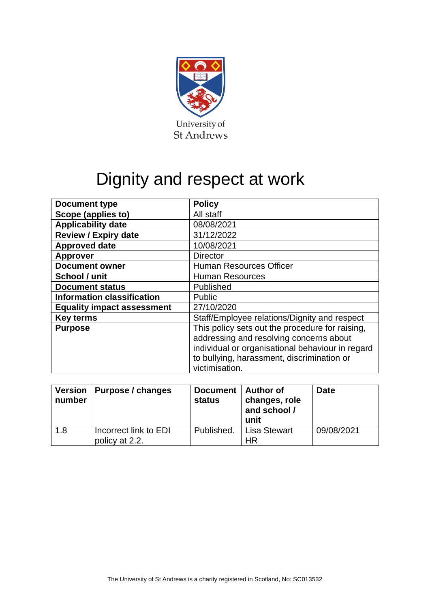

# Dignity and respect at work

| <b>Document type</b>              | <b>Policy</b>                                    |  |
|-----------------------------------|--------------------------------------------------|--|
| Scope (applies to)                | All staff                                        |  |
| <b>Applicability date</b>         | 08/08/2021                                       |  |
| <b>Review / Expiry date</b>       | 31/12/2022                                       |  |
| <b>Approved date</b>              | 10/08/2021                                       |  |
| <b>Approver</b>                   | <b>Director</b>                                  |  |
| <b>Document owner</b>             | <b>Human Resources Officer</b>                   |  |
| School / unit                     | <b>Human Resources</b>                           |  |
| <b>Document status</b>            | Published                                        |  |
| <b>Information classification</b> | <b>Public</b>                                    |  |
| <b>Equality impact assessment</b> | 27/10/2020                                       |  |
| <b>Key terms</b>                  | Staff/Employee relations/Dignity and respect     |  |
| <b>Purpose</b>                    | This policy sets out the procedure for raising,  |  |
|                                   | addressing and resolving concerns about          |  |
|                                   | individual or organisational behaviour in regard |  |
|                                   | to bullying, harassment, discrimination or       |  |
|                                   | victimisation.                                   |  |

| number | Version   Purpose / changes             | Document   Author of<br><b>status</b> | changes, role<br>and school /<br>unit  | <b>Date</b> |
|--------|-----------------------------------------|---------------------------------------|----------------------------------------|-------------|
| 1.8    | Incorrect link to EDI<br>policy at 2.2. |                                       | Published.   Lisa Stewart<br><b>HR</b> | 09/08/2021  |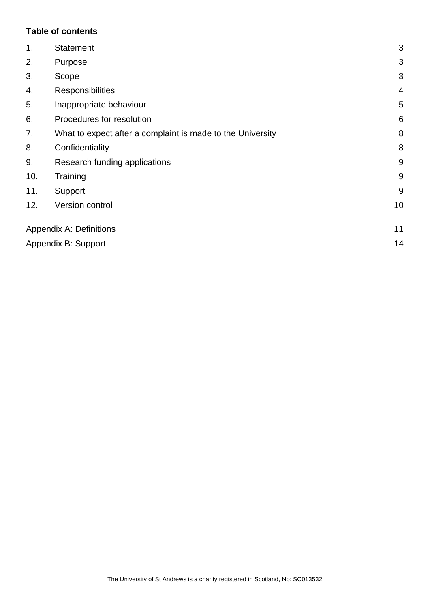#### **Table of contents**

| 1.  | <b>Statement</b>                                           |       |
|-----|------------------------------------------------------------|-------|
| 2.  | Purpose                                                    | 3     |
| 3.  | Scope                                                      | 3     |
| 4.  | <b>Responsibilities</b>                                    | 4     |
| 5.  | Inappropriate behaviour                                    | 5     |
| 6.  | Procedures for resolution                                  |       |
| 7.  | What to expect after a complaint is made to the University |       |
| 8.  | Confidentiality                                            | 8     |
| 9.  | Research funding applications                              | $9\,$ |
| 10. | Training                                                   | 9     |
| 11. | Support                                                    | 9     |
| 12. | Version control                                            | 10    |
|     | <b>Appendix A: Definitions</b>                             | 11    |
|     | Appendix B: Support                                        | 14    |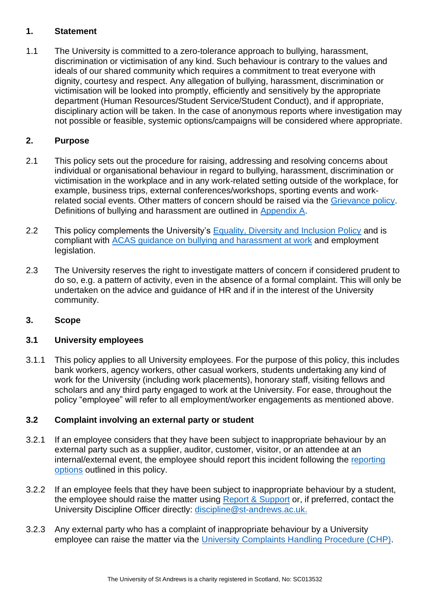#### <span id="page-2-0"></span>**1. Statement**

1.1 The University is committed to a zero-tolerance approach to bullying, harassment, discrimination or victimisation of any kind. Such behaviour is contrary to the values and ideals of our shared community which requires a commitment to treat everyone with dignity, courtesy and respect. Any allegation of bullying, harassment, discrimination or victimisation will be looked into promptly, efficiently and sensitively by the appropriate department (Human Resources/Student Service/Student Conduct), and if appropriate, disciplinary action will be taken. In the case of anonymous reports where investigation may not possible or feasible, systemic options/campaigns will be considered where appropriate.

## <span id="page-2-1"></span>**2. Purpose**

- 2.1 This policy sets out the procedure for raising, addressing and resolving concerns about individual or organisational behaviour in regard to bullying, harassment, discrimination or victimisation in the workplace and in any work-related setting outside of the workplace, for example, business trips, external conferences/workshops, sporting events and workrelated social events. Other matters of concern should be raised via the [Grievance policy.](https://www.st-andrews.ac.uk/policy/staff-employee-relations-resolving-workplace-disputes/grievance-policy.pdf) Definitions of bullying and harassment are outlined in [Appendix A.](#page-10-0)
- 2.2 This policy complements the University's [Equality, Diversity and Inclusion Policy](https://www.st-andrews.ac.uk/policy/staff-equality-diversity-and-inclusion-review/equality-policy.pdf) and is compliant with [ACAS guidance on bullying and harassment at work](https://www.acas.org.uk/discrimination-bullying-and-harassment) and employment legislation.
- 2.3 The University reserves the right to investigate matters of concern if considered prudent to do so, e.g. a pattern of activity, even in the absence of a formal complaint. This will only be undertaken on the advice and guidance of HR and if in the interest of the University community.

## <span id="page-2-2"></span>**3. Scope**

## **3.1 University employees**

3.1.1 This policy applies to all University employees. For the purpose of this policy, this includes bank workers, agency workers, other casual workers, students undertaking any kind of work for the University (including work placements), honorary staff, visiting fellows and scholars and any third party engaged to work at the University. For ease, throughout the policy "employee" will refer to all employment/worker engagements as mentioned above.

#### **3.2 Complaint involving an external party or student**

- 3.2.1 If an employee considers that they have been subject to inappropriate behaviour by an external party such as a supplier, auditor, customer, visitor, or an attendee at an internal/external event, the employee should report this incident following the [reporting](#page-5-0)  [options](#page-5-0) outlined in this policy.
- 3.2.2 If an employee feels that they have been subject to inappropriate behaviour by a student, the employee should raise the matter using [Report & Support](https://reportandsupport.st-andrews.ac.uk/) or, if preferred, contact the University Discipline Officer directly: [discipline@st-andrews.ac.uk.](mailto:discipline@st-andrews.ac.uk)
- 3.2.3 Any external party who has a complaint of inappropriate behaviour by a University employee can raise the matter via the [University Complaints Handling Procedure \(CHP\).](https://www.st-andrews.ac.uk/terms/complaints/)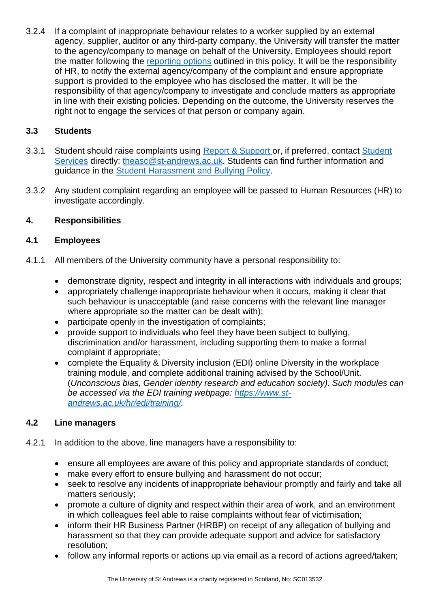3.2.4 If a complaint of inappropriate behaviour relates to a worker supplied by an external agency, supplier, auditor or any third-party company, the University will transfer the matter to the agency/company to manage on behalf of the University. Employees should report the matter following the [reporting options](#page-5-0) outlined in this policy. It will be the responsibility of HR, to notify the external agency/company of the complaint and ensure appropriate support is provided to the employee who has disclosed the matter. It will be the responsibility of that agency/company to investigate and conclude matters as appropriate in line with their existing policies. Depending on the outcome, the University reserves the right not to engage the services of that person or company again.

## **3.3 Students**

- 3.3.1 Student should raise complaints using [Report & Support](https://reportandsupport.st-andrews.ac.uk/) or, if preferred, contact Student [Services](https://www.st-andrews.ac.uk/students/advice/) directly: [theasc@st-andrews.ac.uk.](mailto:theasc@st-andrews.ac.uk) Students can find further information and guidance in the [Student Harassment and Bullying Policy.](https://www.st-andrews.ac.uk/students/advice/personal/beingbulliedorharassed/#d.en.23439)
- 3.3.2 Any student complaint regarding an employee will be passed to Human Resources (HR) to investigate accordingly.

# <span id="page-3-0"></span>**4. Responsibilities**

## **4.1 Employees**

- 4.1.1 All members of the University community have a personal responsibility to:
	- demonstrate dignity, respect and integrity in all interactions with individuals and groups:
	- appropriately challenge inappropriate behaviour when it occurs, making it clear that such behaviour is unacceptable (and raise concerns with the relevant line manager where appropriate so the matter can be dealt with);
	- participate openly in the investigation of complaints;
	- provide support to individuals who feel they have been subject to bullying, discrimination and/or harassment, including supporting them to make a formal complaint if appropriate;
	- complete the Equality & Diversity inclusion (EDI) online Diversity in the workplace training module, and complete additional training advised by the School/Unit. (*Unconscious bias, Gender identity research and education society). Such modules can be accessed via the EDI training webpage: [https://www.st](https://www.st-andrews.ac.uk/hr/edi/training/)[andrews.ac.uk/hr/edi/training/.](https://www.st-andrews.ac.uk/hr/edi/training/)*

## **4.2 Line managers**

- 4.2.1 In addition to the above, line managers have a responsibility to:
	- ensure all employees are aware of this policy and appropriate standards of conduct;
	- make every effort to ensure bullying and harassment do not occur;
	- seek to resolve any incidents of inappropriate behaviour promptly and fairly and take all matters seriously;
	- promote a culture of dignity and respect within their area of work, and an environment in which colleagues feel able to raise complaints without fear of victimisation;
	- inform their [HR Business Partner \(HRBP\)](https://www.st-andrews.ac.uk/hr/businesspartner/) on receipt of any allegation of bullying and harassment so that they can provide adequate support and advice for satisfactory resolution;
	- follow any informal reports or actions up via email as a record of actions agreed/taken;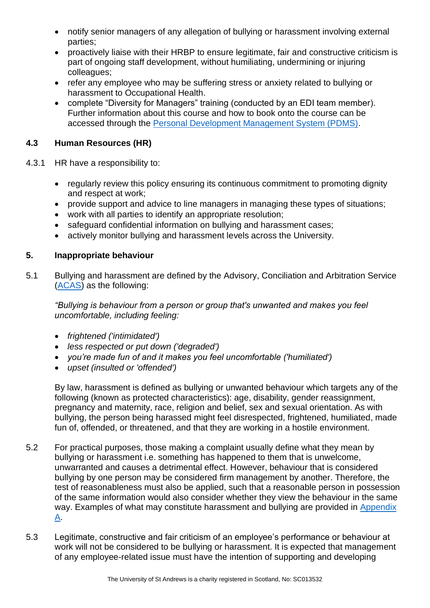- notify senior managers of any allegation of bullying or harassment involving external parties;
- proactively liaise with their HRBP to ensure legitimate, fair and constructive criticism is part of ongoing staff development, without humiliating, undermining or injuring colleagues;
- refer any employee who may be suffering stress or anxiety related to bullying or harassment to [Occupational Health.](https://www.st-andrews.ac.uk/ehss/occupationalhealth/)
- complete "Diversity for Managers" training (conducted by an EDI team member). Further information about this course and how to book onto the course can be accessed through the [Personal Development Management System \(PDMS\).](https://www.st-andrews.ac.uk/pdms/index.php)

# **4.3 Human Resources (HR)**

- 4.3.1 HR have a responsibility to:
	- regularly review this policy ensuring its continuous commitment to promoting dignity and respect at work;
	- provide support and advice to line managers in managing these types of situations;
	- work with all parties to identify an appropriate resolution;
	- safeguard confidential information on bullying and harassment cases:
	- actively monitor bullying and harassment levels across the University.

## <span id="page-4-0"></span>**5. Inappropriate behaviour**

5.1 Bullying and harassment are defined by the Advisory, Conciliation and Arbitration Service [\(ACAS\)](https://www.acas.org.uk/if-youre-treated-unfairly-at-work) as the following:

*"Bullying is behaviour from a person or group that's unwanted and makes you feel uncomfortable, including feeling:*

- *frightened ('intimidated')*
- *less respected or put down ('degraded')*
- *you're made fun of and it makes you feel uncomfortable ('humiliated')*
- *upset (insulted or 'offended')*

By law, harassment is defined as bullying or unwanted behaviour which targets any of the following (known as protected characteristics): age, disability, gender reassignment, pregnancy and maternity, race, religion and belief, sex and sexual orientation. As with bullying, the person being harassed might feel disrespected, frightened, humiliated, made fun of, offended, or threatened, and that they are working in a hostile environment.

- 5.2 For practical purposes, those making a complaint usually define what they mean by bullying or harassment i.e. something has happened to them that is unwelcome, unwarranted and causes a detrimental effect. However, behaviour that is considered bullying by one person may be considered firm management by another. Therefore, the test of reasonableness must also be applied, such that a reasonable person in possession of the same information would also consider whether they view the behaviour in the same way. Examples of what may constitute harassment and bullying are provided in Appendix  $\underline{A}$ .
- 5.3 Legitimate, constructive and fair criticism of an employee's performance or behaviour at work will not be considered to be bullying or harassment. It is expected that management of any employee-related issue must have the intention of supporting and developing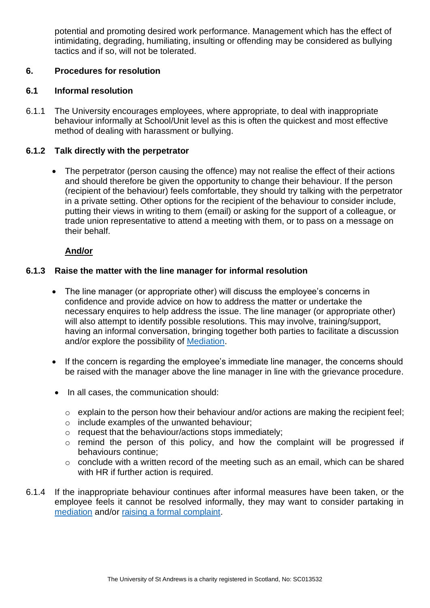potential and promoting desired work performance. Management which has the effect of intimidating, degrading, humiliating, insulting or offending may be considered as bullying tactics and if so, will not be tolerated.

#### <span id="page-5-0"></span>**6. Procedures for resolution**

#### **6.1 Informal resolution**

6.1.1 The University encourages employees, where appropriate, to deal with inappropriate behaviour informally at School/Unit level as this is often the quickest and most effective method of dealing with harassment or bullying.

#### **6.1.2 Talk directly with the perpetrator**

• The perpetrator (person causing the offence) may not realise the effect of their actions and should therefore be given the opportunity to change their behaviour. If the person (recipient of the behaviour) feels comfortable, they should try talking with the perpetrator in a private setting. Other options for the recipient of the behaviour to consider include, putting their views in writing to them (email) or asking for the support of a colleague, or trade union representative to attend a meeting with them, or to pass on a message on their behalf.

#### **And/or**

#### **6.1.3 Raise the matter with the line manager for informal resolution**

- The line manager (or appropriate other) will discuss the employee's concerns in confidence and provide advice on how to address the matter or undertake the necessary enquires to help address the issue. The line manager (or appropriate other) will also attempt to identify possible resolutions. This may involve, training/support, having an informal conversation, bringing together both parties to facilitate a discussion and/or explore the possibility of [Mediation.](#page-6-0)
- If the concern is regarding the employee's immediate line manager, the concerns should be raised with the manager above the line manager in line with the grievance procedure.
- In all cases, the communication should:
	- o explain to the person how their behaviour and/or actions are making the recipient feel;
	- o include examples of the unwanted behaviour;
	- o request that the behaviour/actions stops immediately;
	- o remind the person of this policy, and how the complaint will be progressed if behaviours continue;
	- o conclude with a written record of the meeting such as an email, which can be shared with HR if further action is required.
- 6.1.4 If the inappropriate behaviour continues after informal measures have been taken, or the employee feels it cannot be resolved informally, they may want to consider partaking in [mediation](#page-6-0) and/or [raising a formal complaint.](#page-6-1)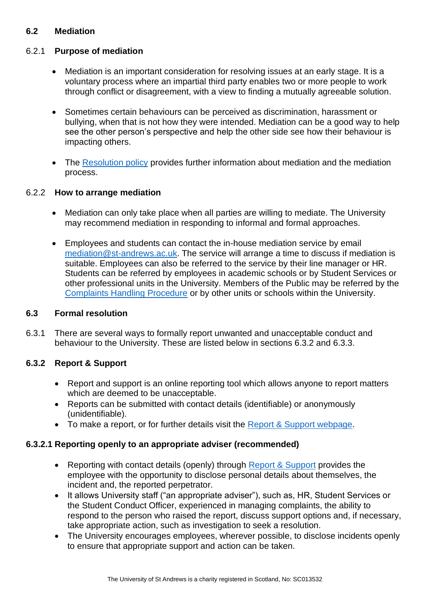## <span id="page-6-0"></span>**6.2 Mediation**

#### 6.2.1 **Purpose of mediation**

- Mediation is an important consideration for resolving issues at an early stage. It is a voluntary process where an impartial third party enables two or more people to work through conflict or disagreement, with a view to finding a mutually agreeable solution.
- Sometimes certain behaviours can be perceived as discrimination, harassment or bullying, when that is not how they were intended. Mediation can be a good way to help see the other person's perspective and help the other side see how their behaviour is impacting others.
- The [Resolution policy](https://www.st-andrews.ac.uk/policy/staff-employee-relations-resolving-workplace-disputes/resolution-policy.pdf) provides further information about mediation and the mediation process.

#### 6.2.2 **How to arrange mediation**

- Mediation can only take place when all parties are willing to mediate. The University may recommend mediation in responding to informal and formal approaches.
- Employees and students can contact the in-house mediation service by email [mediation@st-andrews.ac.uk.](mailto:mediation@st-andrews.ac.uk) The service will arrange a time to discuss if mediation is suitable. Employees can also be referred to the service by their line manager or HR. Students can be referred by employees in academic schools or by Student Services or other professional units in the University. Members of the Public may be referred by the [Complaints Handling Procedure](https://www.st-andrews.ac.uk/terms/complaints/) or by other units or schools within the University.

#### <span id="page-6-1"></span>**6.3 Formal resolution**

6.3.1 There are several ways to formally report unwanted and unacceptable conduct and behaviour to the University. These are listed below in sections 6.3.2 and 6.3.3.

## **6.3.2 Report & Support**

- Report and support is an online reporting tool which allows anyone to report matters which are deemed to be unacceptable.
- Reports can be submitted with contact details (identifiable) or anonymously (unidentifiable).
- To make a report, or for further details visit the [Report & Support webpage.](https://reportandsupport.st-andrews.ac.uk/)

## **6.3.2.1 Reporting openly to an appropriate adviser (recommended)**

- Reporting with contact details (openly) through [Report & Support](https://reportandsupport.st-andrews.ac.uk/) provides the employee with the opportunity to disclose personal details about themselves, the incident and, the reported perpetrator.
- It allows University staff ("an appropriate adviser"), such as, HR, Student Services or the Student Conduct Officer, experienced in managing complaints, the ability to respond to the person who raised the report, discuss support options and, if necessary, take appropriate action, such as investigation to seek a resolution.
- The University encourages employees, wherever possible, to disclose incidents openly to ensure that appropriate support and action can be taken.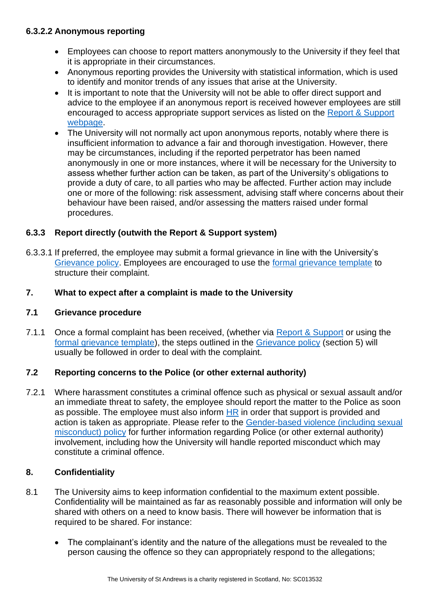#### **6.3.2.2 Anonymous reporting**

- Employees can choose to report matters anonymously to the University if they feel that it is appropriate in their circumstances.
- Anonymous reporting provides the University with statistical information, which is used to identify and monitor trends of any issues that arise at the University.
- It is important to note that the University will not be able to offer direct support and advice to the employee if an anonymous report is received however employees are still encouraged to access appropriate support services as listed on the [Report & Support](https://reportandsupport.st-andrews.ac.uk/)  [webpage.](https://reportandsupport.st-andrews.ac.uk/)
- The University will not normally act upon anonymous reports, notably where there is insufficient information to advance a fair and thorough investigation. However, there may be circumstances, including if the reported perpetrator has been named anonymously in one or more instances, where it will be necessary for the University to assess whether further action can be taken, as part of the University's obligations to provide a duty of care, to all parties who may be affected. Further action may include one or more of the following: risk assessment, advising staff where concerns about their behaviour have been raised, and/or assessing the matters raised under formal procedures.

## **6.3.3 Report directly (outwith the Report & Support system)**

6.3.3.1 If preferred, the employee may submit a formal grievance in line with the University's [Grievance policy.](https://www.st-andrews.ac.uk/media/human-resources/new-policy-section-documents/grievance/Grievance%20Policy%20August%202018.pdf) Employees are encouraged to use the [formal grievance template](https://www.st-andrews.ac.uk/media/human-resources/new-policy-section-documents/grievance/Formal%20Grievance%20Template.docx) to structure their complaint.

#### <span id="page-7-0"></span>**7. What to expect after a complaint is made to the University**

#### **7.1 Grievance procedure**

7.1.1 Once a formal complaint has been received, (whether via [Report & Support](https://reportandsupport.st-andrews.ac.uk/) or using the [formal grievance template\)](https://www.st-andrews.ac.uk/media/human-resources/new-policy-section-documents/grievance/Formal%20Grievance%20Template.docx), the steps outlined in the [Grievance policy](https://www.st-andrews.ac.uk/media/human-resources/new-policy-section-documents/grievance/Grievance%20Policy%20August%202018.pdf) (section 5) will usually be followed in order to deal with the complaint.

## **7.2 Reporting concerns to the Police (or other external authority)**

7.2.1 Where harassment constitutes a criminal offence such as physical or sexual assault and/or an immediate threat to safety, the employee should report the matter to the Police as soon as possible. The employee must also inform [HR](https://www.st-andrews.ac.uk/hr/businesspartner/) in order that support is provided and action is taken as appropriate. Please refer to the [Gender-based violence \(including sexual](https://www.st-andrews.ac.uk/policy/staff-employee-relations-dignity-and-respect/gender-based-violence.pdf)  [misconduct\) policy](https://www.st-andrews.ac.uk/policy/staff-employee-relations-dignity-and-respect/gender-based-violence.pdf) for further information regarding Police (or other external authority) involvement, including how the University will handle reported misconduct which may constitute a criminal offence.

## <span id="page-7-1"></span>**8. Confidentiality**

- 8.1 The University aims to keep information confidential to the maximum extent possible. Confidentiality will be maintained as far as reasonably possible and information will only be shared with others on a need to know basis. There will however be information that is required to be shared. For instance:
	- The complainant's identity and the nature of the allegations must be revealed to the person causing the offence so they can appropriately respond to the allegations;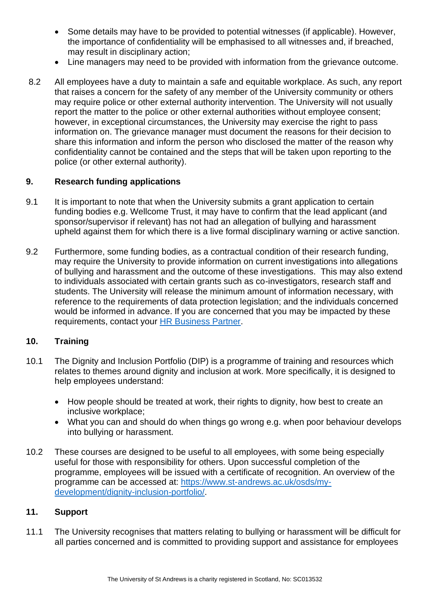- Some details may have to be provided to potential witnesses (if applicable). However, the importance of confidentiality will be emphasised to all witnesses and, if breached, may result in disciplinary action;
- Line managers may need to be provided with information from the grievance outcome.
- 8.2 All employees have a duty to maintain a safe and equitable workplace. As such, any report that raises a concern for the safety of any member of the University community or others may require police or other external authority intervention. The University will not usually report the matter to the police or other external authorities without employee consent; however, in exceptional circumstances, the University may exercise the right to pass information on. The grievance manager must document the reasons for their decision to share this information and inform the person who disclosed the matter of the reason why confidentiality cannot be contained and the steps that will be taken upon reporting to the police (or other external authority).

#### <span id="page-8-0"></span>**9. Research funding applications**

- 9.1 It is important to note that when the University submits a grant application to certain funding bodies e.g. Wellcome Trust, it may have to confirm that the lead applicant (and sponsor/supervisor if relevant) has not had an allegation of bullying and harassment upheld against them for which there is a live formal disciplinary warning or active sanction.
- 9.2 Furthermore, some funding bodies, as a contractual condition of their research funding, may require the University to provide information on current investigations into allegations of bullying and harassment and the outcome of these investigations. This may also extend to individuals associated with certain grants such as co-investigators, research staff and students. The University will release the minimum amount of information necessary, with reference to the requirements of data protection legislation; and the individuals concerned would be informed in advance. If you are concerned that you may be impacted by these requirements, contact your [HR Business Partner.](https://www.st-andrews.ac.uk/hr/businesspartner/)

#### <span id="page-8-1"></span>**10. Training**

- 10.1 The Dignity and Inclusion Portfolio (DIP) is a programme of training and resources which relates to themes around dignity and inclusion at work. More specifically, it is designed to help employees understand:
	- How people should be treated at work, their rights to dignity, how best to create an inclusive workplace;
	- What you can and should do when things go wrong e.g. when poor behaviour develops into bullying or harassment.
- 10.2 These courses are designed to be useful to all employees, with some being especially useful for those with responsibility for others. Upon successful completion of the programme, employees will be issued with a certificate of recognition. An overview of the programme can be accessed at: [https://www.st-andrews.ac.uk/osds/my](https://www.st-andrews.ac.uk/osds/my-development/dignity-inclusion-portfolio/)[development/dignity-inclusion-portfolio/.](https://www.st-andrews.ac.uk/osds/my-development/dignity-inclusion-portfolio/)

#### <span id="page-8-2"></span>**11. Support**

11.1 The University recognises that matters relating to bullying or harassment will be difficult for all parties concerned and is committed to providing support and assistance for employees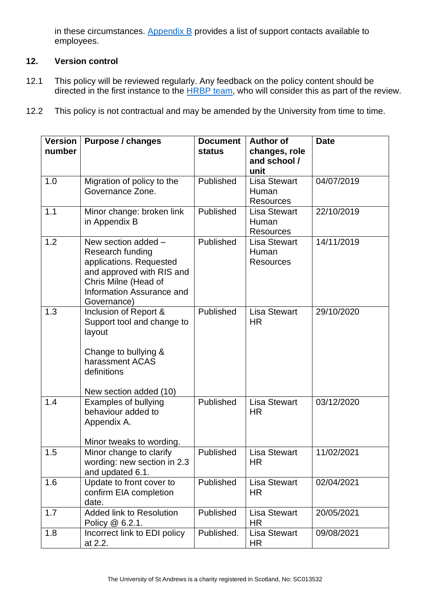in these circumstances. Appendix  $B$  provides a list of support contacts available to employees.

# <span id="page-9-0"></span>**12. Version control**

- 12.1 This policy will be reviewed regularly. Any feedback on the policy content should be directed in the first instance to the [HRBP team,](https://www.st-andrews.ac.uk/hr/businesspartner/) who will consider this as part of the review.
- 12.2 This policy is not contractual and may be amended by the University from time to time.

| <b>Version</b><br>number | <b>Purpose / changes</b>                                                                                                                                            | <b>Document</b><br><b>status</b> | <b>Author of</b><br>changes, role<br>and school /<br>unit | <b>Date</b> |
|--------------------------|---------------------------------------------------------------------------------------------------------------------------------------------------------------------|----------------------------------|-----------------------------------------------------------|-------------|
| 1.0                      | Migration of policy to the<br>Governance Zone.                                                                                                                      | Published                        | <b>Lisa Stewart</b><br>Human<br><b>Resources</b>          | 04/07/2019  |
| 1.1                      | Minor change: broken link<br>in Appendix B                                                                                                                          | Published                        | <b>Lisa Stewart</b><br>Human<br><b>Resources</b>          | 22/10/2019  |
| 1.2                      | New section added -<br>Research funding<br>applications. Requested<br>and approved with RIS and<br>Chris Milne (Head of<br>Information Assurance and<br>Governance) | Published                        | <b>Lisa Stewart</b><br>Human<br><b>Resources</b>          | 14/11/2019  |
| 1.3                      | Inclusion of Report &<br>Support tool and change to<br>layout<br>Change to bullying &<br>harassment ACAS<br>definitions<br>New section added (10)                   | Published                        | <b>Lisa Stewart</b><br><b>HR</b>                          | 29/10/2020  |
| 1.4                      | <b>Examples of bullying</b><br>behaviour added to<br>Appendix A.<br>Minor tweaks to wording.                                                                        | Published                        | <b>Lisa Stewart</b><br><b>HR</b>                          | 03/12/2020  |
| 1.5                      | Minor change to clarify<br>wording: new section in 2.3<br>and updated 6.1.                                                                                          | Published                        | <b>Lisa Stewart</b><br>HR                                 | 11/02/2021  |
| 1.6                      | Update to front cover to<br>confirm EIA completion<br>date.                                                                                                         | Published                        | <b>Lisa Stewart</b><br><b>HR</b>                          | 02/04/2021  |
| 1.7                      | <b>Added link to Resolution</b><br>Policy @ 6.2.1.                                                                                                                  | Published                        | <b>Lisa Stewart</b><br><b>HR</b>                          | 20/05/2021  |
| 1.8                      | Incorrect link to EDI policy<br>at 2.2.                                                                                                                             | Published.                       | <b>Lisa Stewart</b><br>HR                                 | 09/08/2021  |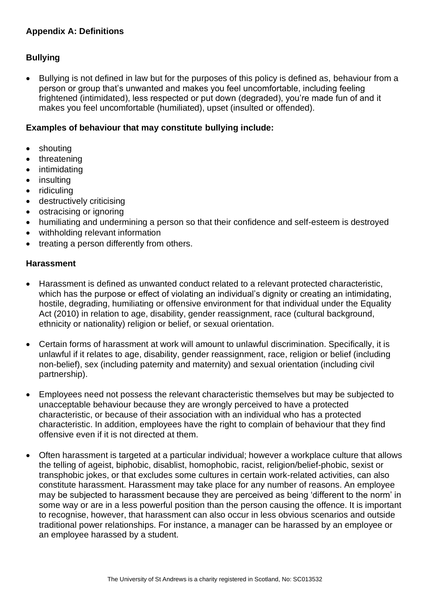# <span id="page-10-0"></span>**Appendix A: Definitions**

## **Bullying**

• Bullying is not defined in law but for the purposes of this policy is defined as, behaviour from a person or group that's unwanted and makes you feel uncomfortable, including feeling frightened (intimidated), less respected or put down (degraded), you're made fun of and it makes you feel uncomfortable (humiliated), upset (insulted or offended).

#### **Examples of behaviour that may constitute bullying include:**

- shouting
- threatening
- intimidating
- insulting
- ridiculing
- destructively criticising
- ostracising or ignoring
- humiliating and undermining a person so that their confidence and self-esteem is destroyed
- withholding relevant information
- treating a person differently from others.

#### **Harassment**

- Harassment is defined as unwanted conduct related to a relevant protected characteristic, which has the purpose or effect of violating an individual's dignity or creating an intimidating, hostile, degrading, humiliating or offensive environment for that individual under the Equality Act (2010) in relation to age, disability, gender reassignment, race (cultural background, ethnicity or nationality) religion or belief, or sexual orientation.
- Certain forms of harassment at work will amount to unlawful discrimination. Specifically, it is unlawful if it relates to age, disability, gender reassignment, race, religion or belief (including non-belief), sex (including paternity and maternity) and sexual orientation (including civil partnership).
- Employees need not possess the relevant characteristic themselves but may be subjected to unacceptable behaviour because they are wrongly perceived to have a protected characteristic, or because of their association with an individual who has a protected characteristic. In addition, employees have the right to complain of behaviour that they find offensive even if it is not directed at them.
- Often harassment is targeted at a particular individual; however a workplace culture that allows the telling of ageist, biphobic, disablist, homophobic, racist, religion/belief-phobic, sexist or transphobic jokes, or that excludes some cultures in certain work-related activities, can also constitute harassment. Harassment may take place for any number of reasons. An employee may be subjected to harassment because they are perceived as being 'different to the norm' in some way or are in a less powerful position than the person causing the offence. It is important to recognise, however, that harassment can also occur in less obvious scenarios and outside traditional power relationships. For instance, a manager can be harassed by an employee or an employee harassed by a student.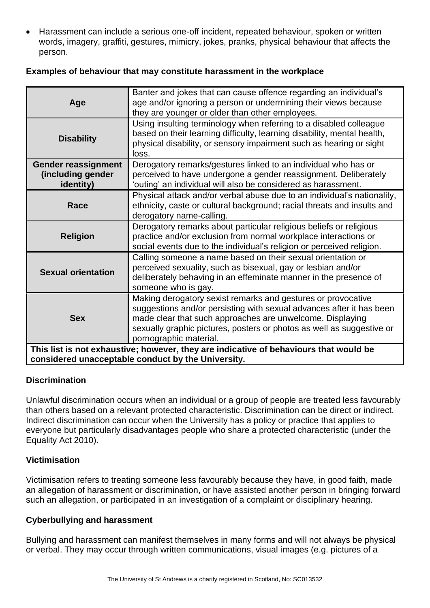• Harassment can include a serious one-off incident, repeated behaviour, spoken or written words, imagery, graffiti, gestures, mimicry, jokes, pranks, physical behaviour that affects the person.

#### **Examples of behaviour that may constitute harassment in the workplace**

| Age                                                                                                                                         | Banter and jokes that can cause offence regarding an individual's<br>age and/or ignoring a person or undermining their views because<br>they are younger or older than other employees.                                                                                                              |  |
|---------------------------------------------------------------------------------------------------------------------------------------------|------------------------------------------------------------------------------------------------------------------------------------------------------------------------------------------------------------------------------------------------------------------------------------------------------|--|
| <b>Disability</b>                                                                                                                           | Using insulting terminology when referring to a disabled colleague<br>based on their learning difficulty, learning disability, mental health,<br>physical disability, or sensory impairment such as hearing or sight<br>loss.                                                                        |  |
| <b>Gender reassignment</b><br>(including gender<br>identity)                                                                                | Derogatory remarks/gestures linked to an individual who has or<br>perceived to have undergone a gender reassignment. Deliberately<br>'outing' an individual will also be considered as harassment.                                                                                                   |  |
| Race                                                                                                                                        | Physical attack and/or verbal abuse due to an individual's nationality,<br>ethnicity, caste or cultural background; racial threats and insults and<br>derogatory name-calling.                                                                                                                       |  |
| <b>Religion</b>                                                                                                                             | Derogatory remarks about particular religious beliefs or religious<br>practice and/or exclusion from normal workplace interactions or<br>social events due to the individual's religion or perceived religion.                                                                                       |  |
| <b>Sexual orientation</b>                                                                                                                   | Calling someone a name based on their sexual orientation or<br>perceived sexuality, such as bisexual, gay or lesbian and/or<br>deliberately behaving in an effeminate manner in the presence of<br>someone who is gay.                                                                               |  |
| <b>Sex</b>                                                                                                                                  | Making derogatory sexist remarks and gestures or provocative<br>suggestions and/or persisting with sexual advances after it has been<br>made clear that such approaches are unwelcome. Displaying<br>sexually graphic pictures, posters or photos as well as suggestive or<br>pornographic material. |  |
| This list is not exhaustive; however, they are indicative of behaviours that would be<br>considered unacceptable conduct by the University. |                                                                                                                                                                                                                                                                                                      |  |

#### **Discrimination**

Unlawful discrimination occurs when an individual or a group of people are treated less favourably than others based on a relevant protected characteristic. Discrimination can be direct or indirect. Indirect discrimination can occur when the University has a policy or practice that applies to everyone but particularly disadvantages people who share a protected characteristic (under the Equality Act 2010).

#### **Victimisation**

Victimisation refers to treating someone less favourably because they have, in good faith, made an allegation of harassment or discrimination, or have assisted another person in bringing forward such an allegation, or participated in an investigation of a complaint or disciplinary hearing.

#### **Cyberbullying and harassment**

Bullying and harassment can manifest themselves in many forms and will not always be physical or verbal. They may occur through written communications, visual images (e.g. pictures of a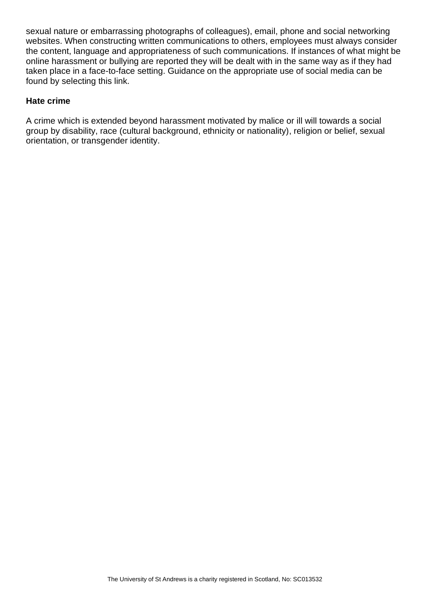sexual nature or embarrassing photographs of colleagues), email, phone and social networking websites. When constructing written communications to others, employees must always consider the content, language and appropriateness of such communications. If instances of what might be online harassment or bullying are reported they will be dealt with in the same way as if they had taken place in a face-to-face setting. Guidance on the appropriate use of social media can be found by selecting this link.

#### **Hate crime**

A crime which is extended beyond harassment motivated by malice or ill will towards a social group by disability, race (cultural background, ethnicity or nationality), religion or belief, sexual orientation, or transgender identity.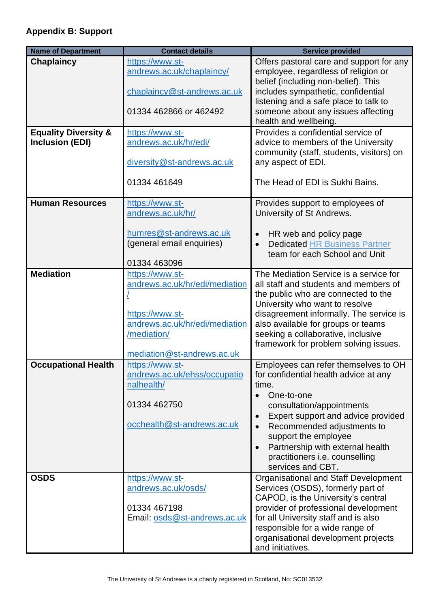# <span id="page-13-0"></span>**Appendix B: Support**

| <b>Name of Department</b>       | <b>Contact details</b>                            | <b>Service provided</b>                                                         |
|---------------------------------|---------------------------------------------------|---------------------------------------------------------------------------------|
| <b>Chaplaincy</b>               | https://www.st-                                   | Offers pastoral care and support for any                                        |
|                                 | andrews.ac.uk/chaplaincy/                         | employee, regardless of religion or                                             |
|                                 | chaplaincy@st-andrews.ac.uk                       | belief (including non-belief). This<br>includes sympathetic, confidential       |
|                                 |                                                   | listening and a safe place to talk to                                           |
|                                 | 01334 462866 or 462492                            | someone about any issues affecting                                              |
|                                 |                                                   | health and wellbeing.                                                           |
| <b>Equality Diversity &amp;</b> | https://www.st-                                   | Provides a confidential service of                                              |
| <b>Inclusion (EDI)</b>          | andrews.ac.uk/hr/edi/                             | advice to members of the University<br>community (staff, students, visitors) on |
|                                 | diversity@st-andrews.ac.uk                        | any aspect of EDI.                                                              |
|                                 |                                                   |                                                                                 |
|                                 | 01334 461649                                      | The Head of EDI is Sukhi Bains.                                                 |
| <b>Human Resources</b>          | https://www.st-                                   | Provides support to employees of                                                |
|                                 | andrews.ac.uk/hr/                                 | University of St Andrews.                                                       |
|                                 | humres@st-andrews.ac.uk                           | HR web and policy page                                                          |
|                                 | (general email enquiries)                         | <b>Dedicated HR Business Partner</b>                                            |
|                                 |                                                   | team for each School and Unit                                                   |
| <b>Mediation</b>                | 01334 463096                                      | The Mediation Service is a service for                                          |
|                                 | https://www.st-<br>andrews.ac.uk/hr/edi/mediation | all staff and students and members of                                           |
|                                 |                                                   | the public who are connected to the                                             |
|                                 |                                                   | University who want to resolve                                                  |
|                                 | https://www.st-<br>andrews.ac.uk/hr/edi/mediation | disagreement informally. The service is<br>also available for groups or teams   |
|                                 | /mediation/                                       | seeking a collaborative, inclusive                                              |
|                                 |                                                   | framework for problem solving issues.                                           |
|                                 | mediation@st-andrews.ac.uk                        |                                                                                 |
| <b>Occupational Health</b>      | https://www.st-<br>andrews.ac.uk/ehss/occupatio   | Employees can refer themselves to OH<br>for confidential health advice at any   |
|                                 | nalhealth/                                        | time.                                                                           |
|                                 |                                                   | One-to-one                                                                      |
|                                 | 01334 462750                                      | consultation/appointments                                                       |
|                                 | occhealth@st-andrews.ac.uk                        | Expert support and advice provided<br>$\bullet$<br>Recommended adjustments to   |
|                                 |                                                   | support the employee                                                            |
|                                 |                                                   | Partnership with external health<br>$\bullet$                                   |
|                                 |                                                   | practitioners i.e. counselling                                                  |
| <b>OSDS</b>                     | https://www.st-                                   | services and CBT.<br>Organisational and Staff Development                       |
|                                 | andrews.ac.uk/osds/                               | Services (OSDS), formerly part of                                               |
|                                 |                                                   | CAPOD, is the University's central                                              |
|                                 | 01334 467198                                      | provider of professional development                                            |
|                                 | Email: osds@st-andrews.ac.uk                      | for all University staff and is also<br>responsible for a wide range of         |
|                                 |                                                   | organisational development projects                                             |
|                                 |                                                   | and initiatives.                                                                |